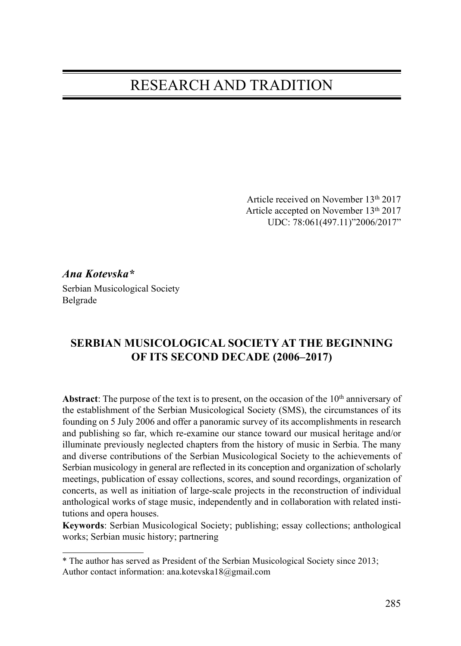## RESEARCH AND TRADITION

Article received on November 13th 2017 Article accepted on November 13th 2017 UDC: 78:061(497.11)"2006/2017"

Ana Kotevska\*

Serbian Musicological Society Belgrade

## SERBIAN MUSICOLOGICAL SOCIETY AT THE BEGINNING OF ITS SECOND DECADE (2006–2017)

Abstract: The purpose of the text is to present, on the occasion of the  $10<sup>th</sup>$  anniversary of the establishment of the Serbian Musicological Society (SMS), the circumstances of its founding on 5 July 2006 and offer a panoramic survey of its accomplishments in research and publishing so far, which re-examine our stance toward our musical heritage and/or illuminate previously neglected chapters from the history of music in Serbia. The many and diverse contributions of the Serbian Musicological Society to the achievements of Serbian musicology in general are reflected in its conception and organization of scholarly meetings, publication of essay collections, scores, and sound recordings, organization of concerts, as well as initiation of large-scale projects in the reconstruction of individual anthological works of stage music, independently and in collaboration with related institutions and opera houses.

Keywords: Serbian Musicological Society; publishing; essay collections; anthological works; Serbian music history; partnering

<sup>\*</sup> The author has served as President of the Serbian Musicological Society since 2013; Author contact information: ana.kotevska18@gmail.com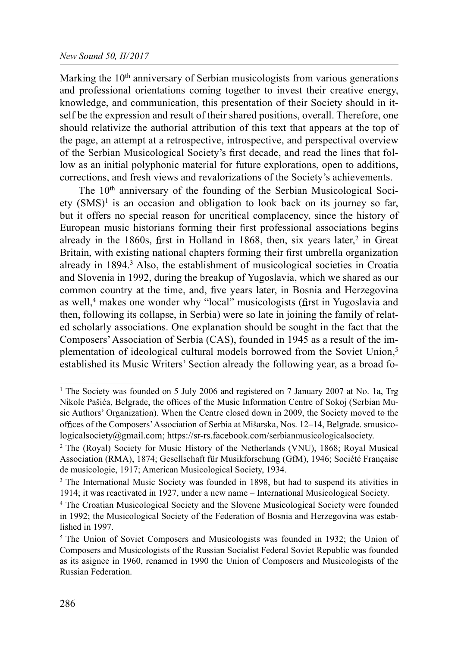Marking the  $10<sup>th</sup>$  anniversary of Serbian musicologists from various generations and professional orientations coming together to invest their creative energy, knowledge, and communication, this presentation of their Society should in itself be the expression and result of their shared positions, overall. Therefore, one should relativize the authorial attribution of this text that appears at the top of the page, an attempt at a retrospective, introspective, and perspectival overview of the Serbian Musicological Society's first decade, and read the lines that follow as an initial polyphonic material for future explorations, open to additions, corrections, and fresh views and revalorizations of the Society's achievements.

The 10<sup>th</sup> anniversary of the founding of the Serbian Musicological Society  $(SMS)^1$  is an occasion and obligation to look back on its journey so far, but it offers no special reason for uncritical complacency, since the history of European music historians forming their first professional associations begins already in the 1860s, first in Holland in 1868, then, six years later,<sup>2</sup> in Great Britain, with existing national chapters forming their first umbrella organization already in 1894.<sup>3</sup> Also, the establishment of musicological societies in Croatia and Slovenia in 1992, during the breakup of Yugoslavia, which we shared as our common country at the time, and, five years later, in Bosnia and Herzegovina as well,<sup>4</sup> makes one wonder why "local" musicologists (first in Yugoslavia and then, following its collapse, in Serbia) were so late in joining the family of related scholarly associations. One explanation should be sought in the fact that the Composers' Association of Serbia (CAS), founded in 1945 as a result of the implementation of ideological cultural models borrowed from the Soviet Union,<sup>5</sup> established its Music Writers' Section already the following year, as a broad fo-

<sup>&</sup>lt;sup>1</sup> The Society was founded on 5 July 2006 and registered on 7 January 2007 at No. 1a, Trg Nikole Pašića, Belgrade, the offices of the Music Information Centre of Sokoj (Serbian Music Authors' Organization). When the Centre closed down in 2009, the Society moved to the offices of the Composers' Association of Serbia at Mišarska, Nos. 12–14, Belgrade. smusicologicalsociety@gmail.com; https://sr-rs.facebook.com/serbianmusicologicalsociety.

<sup>2</sup> The (Royal) Society for Music History of the Netherlands (VNU), 1868; Royal Musical Association (RMA), 1874; Gesellschaft für Musikforschung (GfM), 1946; Société Française de musicologie, 1917; American Мusicological Society, 1934.

<sup>&</sup>lt;sup>3</sup> The International Music Society was founded in 1898, but had to suspend its ativities in 1914; it was reactivated in 1927, under a new name – International Musicological Society.

<sup>4</sup> The Croatian Musicological Society and the Slovene Musicological Society were founded in 1992; the Musicological Society of the Federation of Bosnia and Herzegovina was established in 1997.

<sup>&</sup>lt;sup>5</sup> The Union of Soviet Composers and Musicologists was founded in 1932; the Union of Composers and Musicologists of the Russian Socialist Federal Soviet Republic was founded as its asignee in 1960, renamed in 1990 the Union of Composers and Musicologists of the Russian Federation.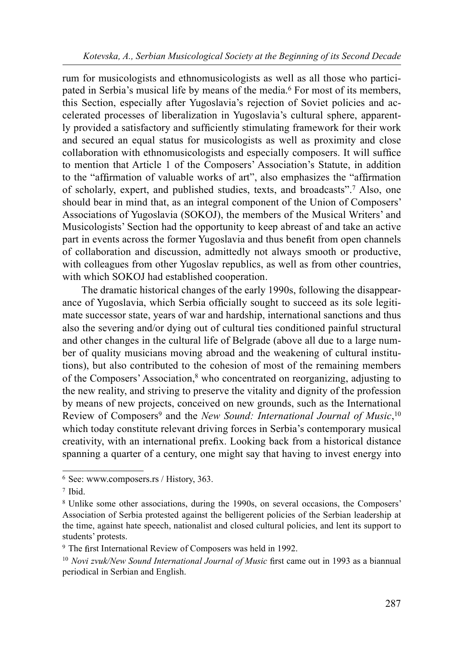rum for musicologists and ethnomusicologists as well as all those who participated in Serbia's musical life by means of the media.6 For most of its members, this Section, especially after Yugoslavia's rejection of Soviet policies and accelerated processes of liberalization in Yugoslavia's cultural sphere, apparently provided a satisfactory and sufficiently stimulating framework for their work and secured an equal status for musicologists as well as proximity and close collaboration with ethnomusicologists and especially composers. It will suffice to mention that Article 1 of the Composers' Association's Statute, in addition to the "affirmation of valuable works of art", also emphasizes the "affirmation of scholarly, expert, and published studies, texts, and broadcasts".7 Also, one should bear in mind that, as an integral component of the Union of Composers' Associations of Yugoslavia (SOKOJ), the members of the Musical Writers' and Musicologists' Section had the opportunity to keep abreast of and take an active part in events across the former Yugoslavia and thus benefit from open channels of collaboration and discussion, admittedly not always smooth or productive, with colleagues from other Yugoslav republics, as well as from other countries, with which SOKOJ had established cooperation.

The dramatic historical changes of the early 1990s, following the disappearance of Yugoslavia, which Serbia officially sought to succeed as its sole legitimate successor state, years of war and hardship, international sanctions and thus also the severing and/or dying out of cultural ties conditioned painful structural and other changes in the cultural life of Belgrade (above all due to a large number of quality musicians moving abroad and the weakening of cultural institutions), but also contributed to the cohesion of most of the remaining members of the Composers' Association,8 who concentrated on reorganizing, adjusting to the new reality, and striving to preserve the vitality and dignity of the profession by means of new projects, conceived on new grounds, such as the International Review of Composers<sup>9</sup> and the *New Sound: International Journal of Music*,<sup>10</sup><br>reliable to be constitute as located histing fance in Serbia? continuous measured which today constitute relevant driving forces in Serbia's contemporary musical creativity, with an international prefix. Looking back from a historical distance spanning a quarter of a century, one might say that having to invest energy into

<sup>6</sup> See: www.composers.rs / History, 363.

<sup>7</sup> Ibid.

<sup>8</sup> Unlike some other associations, during the 1990s, on several occasions, the Composers' Association of Serbia protested against the belligerent policies of the Serbian leadership at the time, against hate speech, nationalist and closed cultural policies, and lent its support to students' protests.

<sup>&</sup>lt;sup>9</sup> The first International Review of Composers was held in 1992.

 $10$  Novi zvuk/New Sound International Journal of Music first came out in 1993 as a biannual periodical in Serbian and English.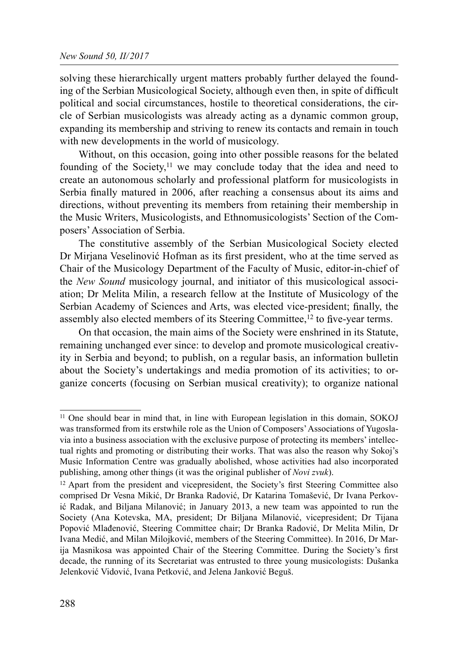solving these hierarchically urgent matters probably further delayed the founding of the Serbian Musicological Society, although even then, in spite of difficult political and social circumstances, hostile to theoretical considerations, the circle of Serbian musicologists was already acting as a dynamic common group, expanding its membership and striving to renew its contacts and remain in touch with new developments in the world of musicology.

Without, on this occasion, going into other possible reasons for the belated founding of the Society,<sup>11</sup> we may conclude today that the idea and need to create an autonomous scholarly and professional platform for musicologists in Serbia finally matured in 2006, after reaching a consensus about its aims and directions, without preventing its members from retaining their membership in the Music Writers, Musicologists, and Ethnomusicologists' Section of the Composers' Association of Serbia.

The constitutive assembly of the Serbian Musicological Society elected Dr Mirjana Veselinović Hofman as its first president, who at the time served as Chair of the Musicology Department of the Faculty of Music, editor-in-chief of the New Sound musicology journal, and initiator of this musicological association; Dr Melita Milin, a research fellow at the Institute of Musicology of the Serbian Academy of Sciences and Arts, was elected vice-president; finally, the assembly also elected members of its Steering Committee,<sup>12</sup> to five-year terms.

On that occasion, the main aims of the Society were enshrined in its Statute, remaining unchanged ever since: to develop and promote musicological creativity in Serbia and beyond; to publish, on a regular basis, an information bulletin about the Society's undertakings and media promotion of its activities; to organize concerts (focusing on Serbian musical creativity); to organize national

<sup>11</sup> One should bear in mind that, in line with European legislation in this domain, SOKOJ was transformed from its erstwhile role as the Union of Composers' Associations of Yugoslavia into a business association with the exclusive purpose of protecting its members' intellectual rights and promoting or distributing their works. That was also the reason why Sokoj's Music Information Centre was gradually abolished, whose activities had also incorporated publishing, among other things (it was the original publisher of *Novi zvuk*).

<sup>&</sup>lt;sup>12</sup> Apart from the president and vicepresident, the Society's first Steering Committee also comprised Dr Vesna Mikić, Dr Branka Radović, Dr Katarina Tomašević, Dr Ivana Perković Radak, and Biljana Milanović; in January 2013, a new team was appointed to run the Society (Ana Kotevska, MA, president; Dr Biljana Milanović, vicepresident; Dr Tijana Popović Mlađenović, Steering Committee chair; Dr Branka Radović, Dr Melita Milin, Dr Ivana Medić, and Milan Milojković, members of the Steering Committee). In 2016, Dr Marija Masnikosa was appointed Chair of the Steering Committee. During the Society's first decade, the running of its Secretariat was entrusted to three young musicologists: Dušanka Jelenković Vidović, Ivana Petković, and Jelena Janković Beguš.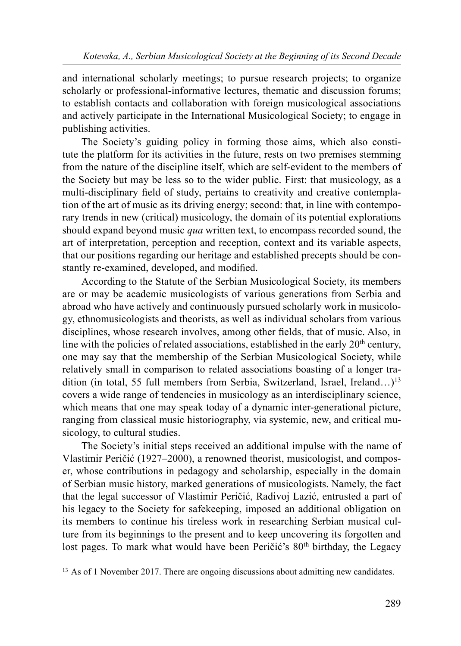and international scholarly meetings; to pursue research projects; to organize scholarly or professional-informative lectures, thematic and discussion forums; to establish contacts and collaboration with foreign musicological associations and actively participate in the International Musicological Society; to engage in publishing activities.

The Society's guiding policy in forming those aims, which also constitute the platform for its activities in the future, rests on two premises stemming from the nature of the discipline itself, which are self-evident to the members of the Society but may be less so to the wider public. First: that musicology, as a multi-disciplinary field of study, pertains to creativity and creative contemplation of the art of music as its driving energy; second: that, in line with contemporary trends in new (critical) musicology, the domain of its potential explorations should expand beyond music *qua* written text, to encompass recorded sound, the art of interpretation, perception and reception, context and its variable aspects, that our positions regarding our heritage and established precepts should be constantly re-examined, developed, and modified.

According to the Statute of the Serbian Musicological Society, its members are or may be academic musicologists of various generations from Serbia and abroad who have actively and continuously pursued scholarly work in musicology, ethnomusicologists and theorists, as well as individual scholars from various disciplines, whose research involves, among other fields, that of music. Also, in line with the policies of related associations, established in the early  $20<sup>th</sup>$  century, one may say that the membership of the Serbian Musicological Society, while relatively small in comparison to related associations boasting of a longer tradition (in total, 55 full members from Serbia, Switzerland, Israel, Ireland…)13 covers a wide range of tendencies in musicology as an interdisciplinary science, which means that one may speak today of a dynamic inter-generational picture, ranging from classical music historiography, via systemic, new, and critical musicology, to cultural studies.

The Society's initial steps received an additional impulse with the name of Vlastimir Peričić (1927–2000), a renowned theorist, musicologist, and composer, whose contributions in pedagogy and scholarship, especially in the domain of Serbian music history, marked generations of musicologists. Namely, the fact that the legal successor of Vlastimir Peričić, Radivoj Lazić, entrusted a part of his legacy to the Society for safekeeping, imposed an additional obligation on its members to continue his tireless work in researching Serbian musical culture from its beginnings to the present and to keep uncovering its forgotten and lost pages. To mark what would have been Peričić's 80<sup>th</sup> birthday, the Legacy

<sup>&</sup>lt;sup>13</sup> As of 1 November 2017. There are ongoing discussions about admitting new candidates.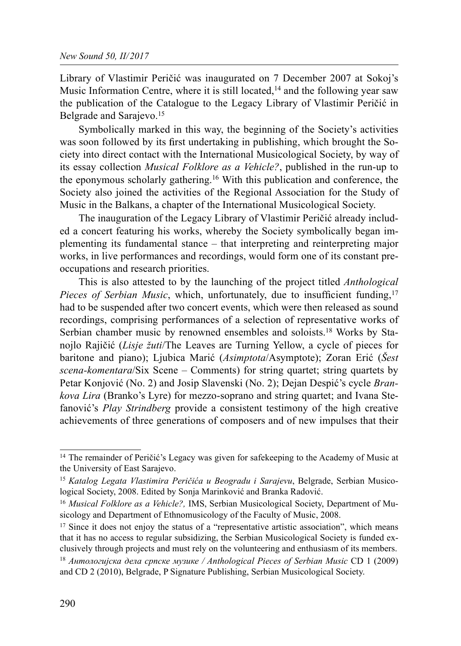Library of Vlastimir Peričić was inaugurated on 7 December 2007 at Sokoj's Music Information Centre, where it is still located,<sup>14</sup> and the following year saw the publication of the Catalogue to the Legacy Library of Vlastimir Peričić in Belgrade and Sarajevo.<sup>15</sup>

Symbolically marked in this way, the beginning of the Society's activities was soon followed by its first undertaking in publishing, which brought the Society into direct contact with the International Musicological Society, by way of its essay collection Musical Folklore as a Vehicle?, published in the run-up to the eponymous scholarly gathering.16 With this publication and conference, the Society also joined the activities of the Regional Association for the Study of Music in the Balkans, a chapter of the International Musicological Society.

The inauguration of the Legacy Library of Vlastimir Peričić already included a concert featuring his works, whereby the Society symbolically began implementing its fundamental stance – that interpreting and reinterpreting major works, in live performances and recordings, would form one of its constant preoccupations and research priorities.

This is also attested to by the launching of the project titled *Anthological* Pieces of Serbian Music, which, unfortunately, due to insufficient funding,<sup>17</sup> had to be suspended after two concert events, which were then released as sound recordings, comprising performances of a selection of representative works of Serbian chamber music by renowned ensembles and soloists.<sup>18</sup> Works by Stanojlo Rajičić (Lisje žuti/The Leaves are Turning Yellow, a cycle of pieces for baritone and piano); Ljubica Marić (Asimptota/Asymptote); Zoran Erić (Šest scena-komentara/Six Scene – Comments) for string quartet; string quartets by Petar Konjović (No. 2) and Josip Slavenski (No. 2); Dejan Despić's cycle *Bran*kova Lira (Branko's Lyre) for mezzo-soprano and string quartet; and Ivana Stefanović's Play Strindberg provide a consistent testimony of the high creative achievements of three generations of composers and of new impulses that their

<sup>&</sup>lt;sup>14</sup> The remainder of Peričić's Legacy was given for safekeeping to the Academy of Music at the University of East Sarajevo.

<sup>&</sup>lt;sup>15</sup> Katalog Legata Vlastimira Peričića u Beogradu i Sarajevu, Belgrade, Serbian Musicological Society, 2008. Edited by Sonja Marinković and Branka Radović.

<sup>&</sup>lt;sup>16</sup> Musical Folklore as a Vehicle?, IMS, Serbian Musicological Society, Department of Musicology and Department of Ethnomusicology of the Faculty of Music, 2008.

 $17$  Since it does not enjoy the status of a "representative artistic association", which means that it has no access to regular subsidizing, the Serbian Musicological Society is funded exclusively through projects and must rely on the volunteering and enthusiasm of its members.

<sup>&</sup>lt;sup>18</sup> Антологијска дела српске музике / Anthological Pieces of Serbian Music CD 1 (2009) and CD 2 (2010), Belgrade, P Signature Publishing, Serbian Musicological Society.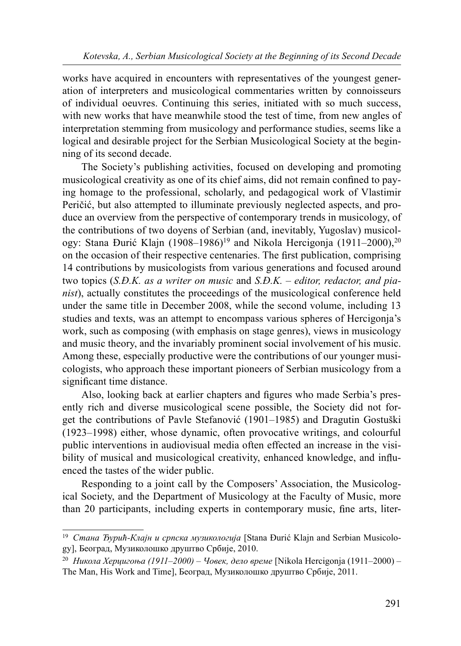works have acquired in encounters with representatives of the youngest generation of interpreters and musicological commentaries written by connoisseurs of individual oeuvres. Continuing this series, initiated with so much success, with new works that have meanwhile stood the test of time, from new angles of interpretation stemming from musicology and performance studies, seems like a logical and desirable project for the Serbian Musicological Society at the beginning of its second decade.

The Society's publishing activities, focused on developing and promoting musicological creativity as one of its chief aims, did not remain confined to paying homage to the professional, scholarly, and pedagogical work of Vlastimir Peričić, but also attempted to illuminate previously neglected aspects, and produce an overview from the perspective of contemporary trends in musicology, of the contributions of two doyens of Serbian (and, inevitably, Yugoslav) musicology: Stana Đurić Klajn (1908–1986)<sup>19</sup> and Nikola Hercigonja (1911–2000),<sup>20</sup> on the occasion of their respective centenaries. The first publication, comprising 14 contributions by musicologists from various generations and focused around two topics  $(S.D.K.$  as a writer on music and  $S.D.K.$  – editor, redactor, and pianist), actually constitutes the proceedings of the musicological conference held under the same title in December 2008, while the second volume, including 13 studies and texts, was an attempt to encompass various spheres of Hercigonja's work, such as composing (with emphasis on stage genres), views in musicology and music theory, and the invariably prominent social involvement of his music. Among these, especially productive were the contributions of our younger musicologists, who approach these important pioneers of Serbian musicology from a significant time distance.

Also, looking back at earlier chapters and figures who made Serbia's presently rich and diverse musicological scene possible, the Society did not forget the contributions of Pavle Stefanović (1901–1985) and Dragutin Gostuški (1923–1998) either, whose dynamic, often provocative writings, and colourful public interventions in audiovisual media often effected an increase in the visibility of musical and musicological creativity, enhanced knowledge, and influenced the tastes of the wider public.

Responding to a joint call by the Composers' Association, the Musicological Society, and the Department of Musicology at the Faculty of Music, more than 20 participants, including experts in contemporary music, fine arts, liter-

<sup>&</sup>lt;sup>19</sup> Стана Ђурић-Клајн и српска музикологија [Stana Đurić Klajn and Serbian Musicology], Београд, Музиколошко друштво Србије, 2010.

<sup>&</sup>lt;sup>20</sup> Никола Херцигоња (1911–2000) – Човек, дело време [Nikola Hercigonja (1911–2000) – The Man, His Work and Time], Београд, Музиколошко друштво Србије, 2011.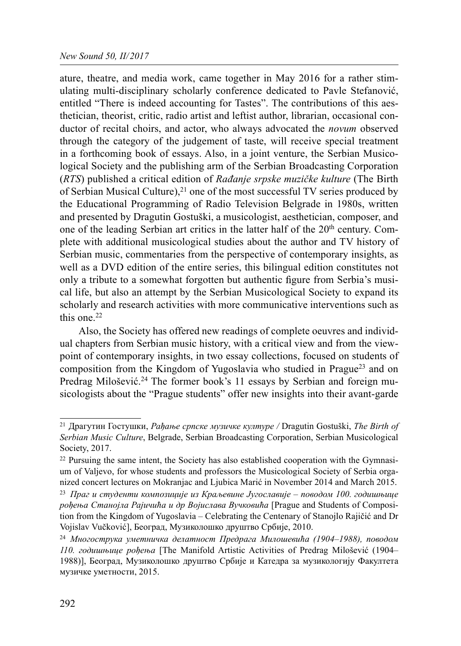## New Sound 50, II/2017

ature, theatre, and media work, came together in May 2016 for a rather stimulating multi-disciplinary scholarly conference dedicated to Pavle Stefanović, entitled "There is indeed accounting for Tastes". The contributions of this aesthetician, theorist, critic, radio artist and leftist author, librarian, occasional conductor of recital choirs, and actor, who always advocated the *novum* observed through the category of the judgement of taste, will receive special treatment in a forthcoming book of essays. Also, in a joint venture, the Serbian Musicological Society and the publishing arm of the Serbian Broadcasting Corporation (RTS) published a critical edition of Rađanje srpske muzičke kulture (The Birth of Serbian Musical Culture),  $2^{1}$  one of the most successful TV series produced by the Educational Programming of Radio Television Belgrade in 1980s, written and presented by Dragutin Gostuški, a musicologist, aesthetician, composer, and one of the leading Serbian art critics in the latter half of the 20<sup>th</sup> century. Complete with additional musicological studies about the author and TV history of Serbian music, commentaries from the perspective of contemporary insights, as well as a DVD edition of the entire series, this bilingual edition constitutes not only a tribute to a somewhat forgotten but authentic figure from Serbia's musical life, but also an attempt by the Serbian Musicological Society to expand its scholarly and research activities with more communicative interventions such as this one.<sup>22</sup>

Also, the Society has offered new readings of complete oeuvres and individual chapters from Serbian music history, with a critical view and from the viewpoint of contemporary insights, in two essay collections, focused on students of composition from the Kingdom of Yugoslavia who studied in Prague23 and on Predrag Milošević.<sup>24</sup> The former book's 11 essays by Serbian and foreign musicologists about the "Prague students" offer new insights into their avant-garde

 $21$  Драгутин Гостушки, Рађање српске музичке културе / Dragutin Gostuški, The Birth of Serbian Music Culture, Belgrade, Serbian Broadcasting Corporation, Serbian Musicological Society, 2017.

 $22$  Pursuing the same intent, the Society has also established cooperation with the Gymnasium of Valjevo, for whose students and professors the Musicological Society of Serbia organized concert lectures on Mokranjac and Ljubica Marić in November 2014 and March 2015.

<sup>&</sup>lt;sup>23</sup> Праг и студенти композиције из Краљевине Југославије – поводом 100. годишњице рођења Станојла Рајичића и др Војислава Вучковића [Prague and Students of Composition from the Kingdom of Yugoslavia – Celebrating the Centenary of Stanojlo Rajičić and Dr Vojislav Vučković], Београд, Музиколошко друштво Србије, 2010.

<sup>24</sup> Многострука уметничка делатност Предрага Милошевића (1904–1988), поводом 110. годишњице рођења [The Manifold Artistic Activities of Predrag Milošević (1904– 1988)], Београд, Музиколошко друштво Србије и Катедра за музикологију Факултета музичке уметности, 2015.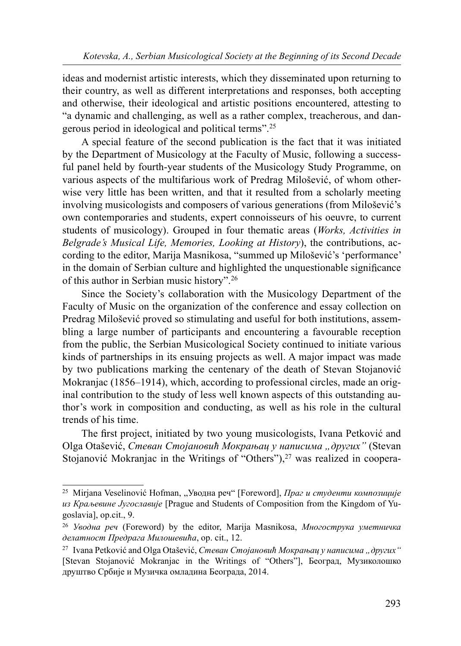ideas and modernist artistic interests, which they disseminated upon returning to their country, as well as different interpretations and responses, both accepting and otherwise, their ideological and artistic positions encountered, attesting to "a dynamic and challenging, as well as a rather complex, treacherous, and dangerous period in ideological and political terms".25

A special feature of the second publication is the fact that it was initiated by the Department of Musicology at the Faculty of Music, following a successful panel held by fourth-year students of the Musicology Study Programme, on various aspects of the multifarious work of Predrag Milošević, of whom otherwise very little has been written, and that it resulted from a scholarly meeting involving musicologists and composers of various generations (from Milošević's own contemporaries and students, expert connoisseurs of his oeuvre, to current students of musicology). Grouped in four thematic areas (Works, Activities in Belgrade's Musical Life, Memories, Looking at History), the contributions, according to the editor, Marija Masnikosa, "summed up Milošević's 'performance' in the domain of Serbian culture and highlighted the unquestionable significance of this author in Serbian music history".26

Since the Society's collaboration with the Musicology Department of the Faculty of Music on the organization of the conference and essay collection on Predrag Milošević proved so stimulating and useful for both institutions, assembling a large number of participants and encountering a favourable reception from the public, the Serbian Musicological Society continued to initiate various kinds of partnerships in its ensuing projects as well. A major impact was made by two publications marking the centenary of the death of Stevan Stojanović Mokranjac (1856–1914), which, according to professional circles, made an original contribution to the study of less well known aspects of this outstanding author's work in composition and conducting, as well as his role in the cultural trends of his time.

The first project, initiated by two young musicologists, Ivana Petković and Olga Otašević, Стеван Стојановић Мокрањац у написима "других" (Stevan Stojanović Mokranjac in the Writings of "Others"), $27$  was realized in coopera-

<sup>&</sup>lt;sup>25</sup> Mirjana Veselinović Hofman, "Уводна реч" [Foreword], *Праг и студенти композиције* из Краљевине Југославије [Prague and Students of Composition from the Kingdom of Yugoslavia], op.cit., 9.

<sup>&</sup>lt;sup>26</sup> Уводна реч (Foreword) by the editor, Marija Masnikosa, Многострука уметничка делатност Предрага Милошевића, op. cit., 12.

<sup>&</sup>lt;sup>27</sup> Ivana Petković and Olga Otašević, Стеван Стојановић Мокрањац у написима "других" [Stevan Stojanović Mokranjac in the Writings of "Others"], Београд, Музиколошко друштво Србије и Музичка омладина Београда, 2014.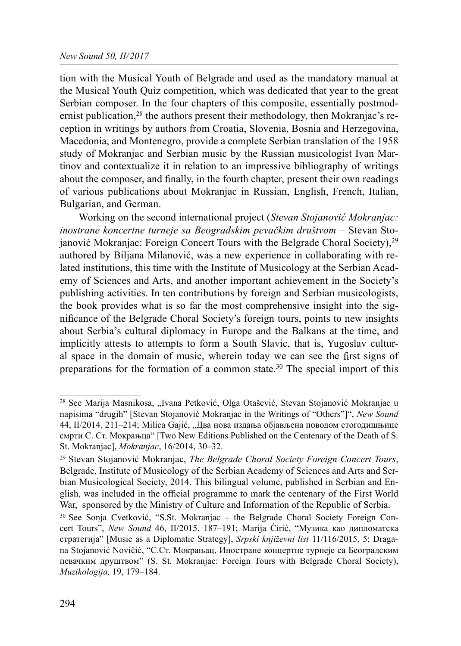tion with the Musical Youth of Belgrade and used as the mandatory manual at the Musical Youth Quiz competition, which was dedicated that year to the great Serbian composer. In the four chapters of this composite, essentially postmodernist publication,<sup>28</sup> the authors present their methodology, then Mokranjac's reception in writings by authors from Croatia, Slovenia, Bosnia and Herzegovina, Macedonia, and Montenegro, provide a complete Serbian translation of the 1958 study of Mokranjac and Serbian music by the Russian musicologist Ivan Martinov and contextualize it in relation to an impressive bibliography of writings about the composer, and finally, in the fourth chapter, present their own readings of various publications about Mokranjac in Russian, English, French, Italian, Bulgarian, and German.

Working on the second international project (Stevan Stojanović Mokranjac: inostrane koncertne turneje sa Beogradskim pevačkim društvom – Stevan Stojanović Mokranjac: Foreign Concert Tours with the Belgrade Choral Society),<sup>29</sup> authored by Biljana Milanović, was a new experience in collaborating with related institutions, this time with the Institute of Musicology at the Serbian Academy of Sciences and Arts, and another important achievement in the Society's publishing activities. In ten contributions by foreign and Serbian musicologists, the book provides what is so far the most comprehensive insight into the significance of the Belgrade Choral Society's foreign tours, points to new insights about Serbia's cultural diplomacy in Europe and the Balkans at the time, and implicitly attests to attempts to form a South Slavic, that is, Yugoslav cultural space in the domain of music, wherein today we can see the first signs of preparations for the formation of a common state.<sup>30</sup> The special import of this

<sup>&</sup>lt;sup>28</sup> See Marija Masnikosa, "Ivana Petković, Olga Otašević, Stevan Stojanović Mokranjac u napisima "drugih" [Stevan Stojanović Mokranjac in the Writings of "Others"]", New Sound 44, II/2014, 211–214; Milica Gajić, "Два нова издања објављена поводом стогодишњице смрти С. Ст. Мокрањца" [Two New Editions Published on the Centenary of the Death of S. St. Mokranjac], Mokranjac, 16/2014, 30–32.

<sup>&</sup>lt;sup>29</sup> Stevan Stojanović Mokranjac, *The Belgrade Choral Society Foreign Concert Tours*, Belgrade, Institute of Musicology of the Serbian Academy of Sciences and Arts and Serbian Musicological Society, 2014. This bilingual volume, published in Serbian and English, was included in the official programme to mark the centenary of the First World War, sponsored by the Ministry of Culture and Information of the Republic of Serbia.

<sup>30</sup> See Sonja Cvetković, "S.St. Mokranjac – the Belgrade Choral Society Foreign Concert Tours", New Sound 46, II/2015, 187–191; Marija Ćirić, "Музика као дипломатска стратегија" [Music as a Diplomatic Strategy], Srpski književni list 11/116/2015, 5; Dragana Stojanović Novičić, "С.Ст. Мокрањац, Иностране концертне турнеје са Београдским певачким друштвом" (S. St. Mokranjac: Foreign Tours with Belgrade Choral Society), Muzikologija, 19, 179–184.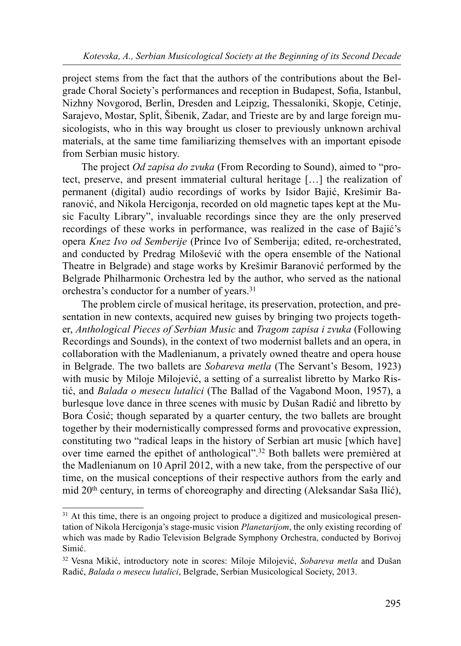project stems from the fact that the authors of the contributions about the Belgrade Choral Society's performances and reception in Budapest, Sofia, Istanbul, Nizhny Novgorod, Berlin, Dresden and Leipzig, Thessaloniki, Skopje, Cetinje, Sarajevo, Mostar, Split, Šibenik, Zadar, and Trieste are by and large foreign musicologists, who in this way brought us closer to previously unknown archival materials, at the same time familiarizing themselves with an important episode from Serbian music history.

The project *Od zapisa do zvuka* (From Recording to Sound), aimed to "protect, preserve, and present immaterial cultural heritage […] the realization of permanent (digital) audio recordings of works by Isidor Bajić, Krešimir Baranović, and Nikola Hercigonja, recorded on old magnetic tapes kept at the Music Faculty Library", invaluable recordings since they are the only preserved recordings of these works in performance, was realized in the case of Bajić's opera Knez Ivo od Semberije (Prince Ivo of Semberija; edited, re-orchestrated, and conducted by Predrag Milošević with the opera ensemble of the National Theatre in Belgrade) and stage works by Krešimir Baranović performed by the Belgrade Philharmonic Orchestra led by the author, who served as the national orchestra's conductor for a number of years.31

The problem circle of musical heritage, its preservation, protection, and presentation in new contexts, acquired new guises by bringing two projects together, Anthological Pieces of Serbian Music and Tragom zapisa i zvuka (Following Recordings and Sounds), in the context of two modernist ballets and an opera, in collaboration with the Madlenianum, a privately owned theatre and opera house in Belgrade. The two ballets are Sobareva metla (The Servant's Besom, 1923) with music by Miloje Milojević, a setting of a surrealist libretto by Marko Ristić, and Balada o mesecu lutalici (The Ballad of the Vagabond Moon, 1957), a burlesque love dance in three scenes with music by Dušan Radić and libretto by Bora Ćosić; though separated by a quarter century, the two ballets are brought together by their modernistically compressed forms and provocative expression, constituting two "radical leaps in the history of Serbian art music [which have] over time earned the epithet of anthological".32 Both ballets were premièred at the Madlenianum on 10 April 2012, with a new take, from the perspective of our time, on the musical conceptions of their respective authors from the early and mid 20th century, in terms of choreography and directing (Aleksandar Saša Ilić),

<sup>&</sup>lt;sup>31</sup> At this time, there is an ongoing project to produce a digitized and musicological presentation of Nikola Hercigonja's stage-music vision Planetarijom, the only existing recording of which was made by Radio Television Belgrade Symphony Orchestra, conducted by Borivoj Simić.

<sup>&</sup>lt;sup>32</sup> Vesna Mikić, introductory note in scores: Miloje Milojević, Sobareva metla and Dušan Radić, Balada o mesecu lutalici, Belgrade, Serbian Musicological Society, 2013.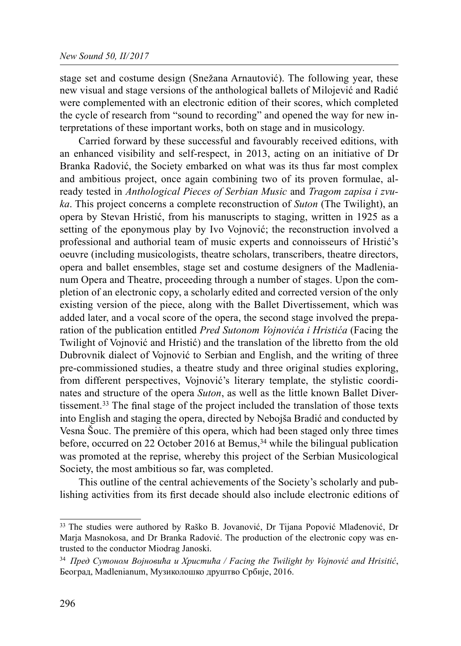stage set and costume design (Snežana Arnautović). The following year, these new visual and stage versions of the anthological ballets of Milojević and Radić were complemented with an electronic edition of their scores, which completed the cycle of research from "sound to recording" and opened the way for new interpretations of these important works, both on stage and in musicology.

Carried forward by these successful and favourably received editions, with an enhanced visibility and self-respect, in 2013, acting on an initiative of Dr Branka Radović, the Society embarked on what was its thus far most complex and ambitious project, once again combining two of its proven formulae, already tested in Anthological Pieces of Serbian Music and Tragom zapisa i zvuka. This project concerns a complete reconstruction of Suton (The Twilight), an opera by Stevan Hristić, from his manuscripts to staging, written in 1925 as a setting of the eponymous play by Ivo Vojnović; the reconstruction involved a professional and authorial team of music experts and connoisseurs of Hristić's oeuvre (including musicologists, theatre scholars, transcribers, theatre directors, opera and ballet ensembles, stage set and costume designers of the Madlenianum Opera and Theatre, proceeding through a number of stages. Upon the completion of an electronic copy, a scholarly edited and corrected version of the only existing version of the piece, along with the Ballet Divertissement, which was added later, and a vocal score of the opera, the second stage involved the preparation of the publication entitled *Pred Sutonom Vojnovića i Hristića* (Facing the Twilight of Vojnović and Hristić) and the translation of the libretto from the old Dubrovnik dialect of Vojnović to Serbian and English, and the writing of three pre-commissioned studies, a theatre study and three original studies exploring, from different perspectives, Vojnović's literary template, the stylistic coordinates and structure of the opera Suton, as well as the little known Ballet Divertissement.<sup>33</sup> The final stage of the project included the translation of those texts into English and staging the opera, directed by Nebojša Bradić and conducted by Vesna Šouc. The première of this opera, which had been staged only three times before, occurred on 22 October 2016 at Bemus,  $34$  while the bilingual publication was promoted at the reprise, whereby this project of the Serbian Musicological Society, the most ambitious so far, was completed.

This outline of the central achievements of the Society's scholarly and publishing activities from its first decade should also include electronic editions of

<sup>33</sup> The studies were authored by Raško B. Jovanović, Dr Tijana Popović Mlađenović, Dr Marja Masnokosa, and Dr Branka Radović. The production of the electronic copy was entrusted to the conductor Miodrag Janoski.

 $34$  Пред Сутоном Војновића и Христића / Facing the Twilight by Vojnović and Hrisitić, Београд, Madlenianum, Музиколошко друштво Србије, 2016.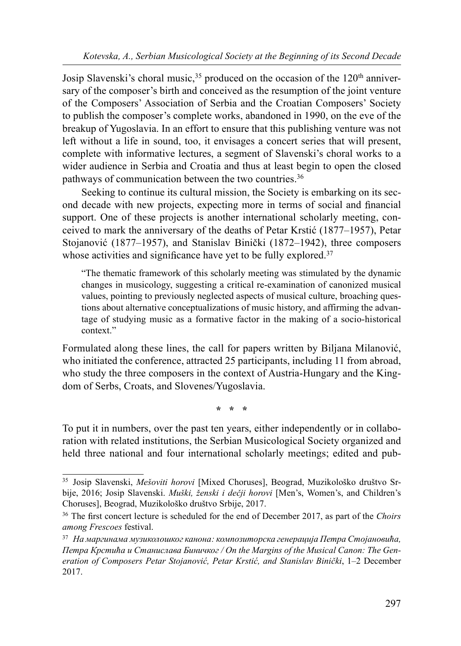Josip Slavenski's choral music,<sup>35</sup> produced on the occasion of the 120<sup>th</sup> anniversary of the composer's birth and conceived as the resumption of the joint venture of the Composers' Association of Serbia and the Croatian Composers' Society to publish the composer's complete works, abandoned in 1990, on the eve of the breakup of Yugoslavia. In an effort to ensure that this publishing venture was not left without a life in sound, too, it envisages a concert series that will present, complete with informative lectures, a segment of Slavenski's choral works to a wider audience in Serbia and Croatia and thus at least begin to open the closed pathways of communication between the two countries.<sup>36</sup>

Seeking to continue its cultural mission, the Society is embarking on its second decade with new projects, expecting more in terms of social and financial support. One of these projects is another international scholarly meeting, conceived to mark the anniversary of the deaths of Petar Krstić (1877–1957), Petar Stojanović (1877–1957), and Stanislav Binički (1872–1942), three composers whose activities and significance have yet to be fully explored.<sup>37</sup>

"The thematic framework of this scholarly meeting was stimulated by the dynamic changes in musicology, suggesting a critical re-examination of canonized musical values, pointing to previously neglected aspects of musical culture, broaching questions about alternative conceptualizations of music history, and affirming the advantage of studying music as a formative factor in the making of a socio-historical context<sup>"</sup>

Formulated along these lines, the call for papers written by Biljana Milanović, who initiated the conference, attracted 25 participants, including 11 from abroad, who study the three composers in the context of Austria-Hungary and the Kingdom of Serbs, Croats, and Slovenes/Yugoslavia.

\* \* \*

To put it in numbers, over the past ten years, either independently or in collaboration with related institutions, the Serbian Musicological Society organized and held three national and four international scholarly meetings; edited and pub-

<sup>35</sup> Josip Slavenski, Mešoviti horovi [Mixed Choruses], Beograd, Muzikološko društvo Srbije, 2016; Josip Slavenski. Muški, ženski i dečji horovi [Men's, Women's, and Children's Choruses], Beograd, Muzikološko društvo Srbije, 2017.

 $36$  The first concert lecture is scheduled for the end of December 2017, as part of the Choirs among Frescoes festival.

 $37$  На маргинама музиколошког канона: композиторска генерација Петра Стојановића, Петра Крстића и Станислава Биничког / On the Margins of the Musical Canon: The Generation of Composers Petar Stojanović, Petar Krstić, and Stanislav Binički, 1–2 December 2017.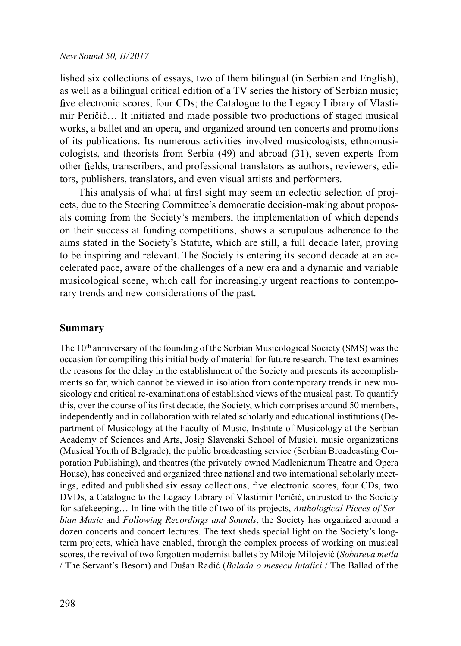lished six collections of essays, two of them bilingual (in Serbian and English), as well as a bilingual critical edition of a TV series the history of Serbian music; five electronic scores; four CDs; the Catalogue to the Legacy Library of Vlastimir Peričić… It initiated and made possible two productions of staged musical works, a ballet and an opera, and organized around ten concerts and promotions of its publications. Its numerous activities involved musicologists, ethnomusicologists, and theorists from Serbia (49) and abroad (31), seven experts from other fields, transcribers, and professional translators as authors, reviewers, editors, publishers, translators, and even visual artists and performers.

This analysis of what at first sight may seem an eclectic selection of projects, due to the Steering Committee's democratic decision-making about proposals coming from the Society's members, the implementation of which depends on their success at funding competitions, shows a scrupulous adherence to the aims stated in the Society's Statute, which are still, a full decade later, proving to be inspiring and relevant. The Society is entering its second decade at an accelerated pace, aware of the challenges of a new era and a dynamic and variable musicological scene, which call for increasingly urgent reactions to contemporary trends and new considerations of the past.

## Summary

The 10<sup>th</sup> anniversary of the founding of the Serbian Musicological Society (SMS) was the occasion for compiling this initial body of material for future research. The text examines the reasons for the delay in the establishment of the Society and presents its accomplishments so far, which cannot be viewed in isolation from contemporary trends in new musicology and critical re-examinations of established views of the musical past. To quantify this, over the course of its first decade, the Society, which comprises around 50 members, independently and in collaboration with related scholarly and educational institutions (Department of Musicology at the Faculty of Music, Institute of Musicology at the Serbian Academy of Sciences and Arts, Josip Slavenski School of Music), music organizations (Musical Youth of Belgrade), the public broadcasting service (Serbian Broadcasting Corporation Publishing), and theatres (the privately owned Madlenianum Theatre and Opera House), has conceived and organized three national and two international scholarly meetings, edited and published six essay collections, five electronic scores, four CDs, two DVDs, a Catalogue to the Legacy Library of Vlastimir Peričić, entrusted to the Society for safekeeping... In line with the title of two of its projects, *Anthological Pieces of Ser*bian Music and Following Recordings and Sounds, the Society has organized around a dozen concerts and concert lectures. The text sheds special light on the Society's longterm projects, which have enabled, through the complex process of working on musical scores, the revival of two forgotten modernist ballets by Miloje Milojević (Sobareva metla / The Servant's Besom) and Dušan Radić (Balada o mesecu lutalici / The Ballad of the